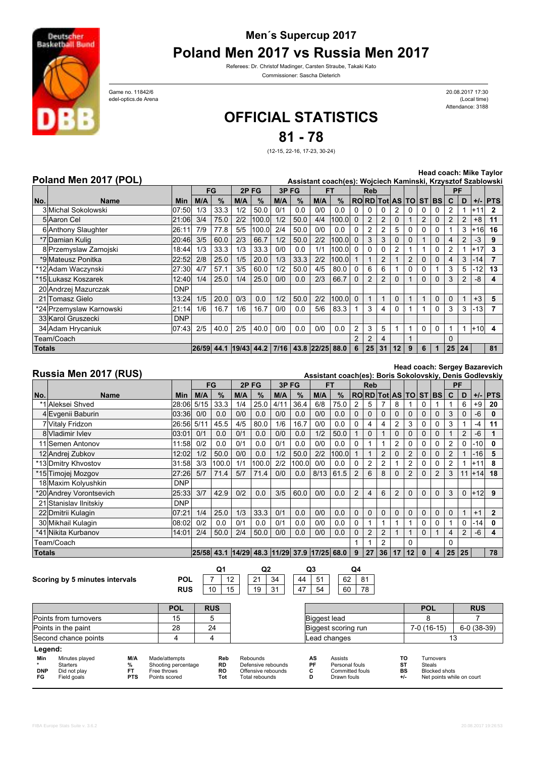

## **Men´s Supercup 2017**

**Poland Men 2017 vs Russia Men 2017**

Referees: Dr. Christof Madinger, Carsten Straube, Takaki Kato Commissioner: Sascha Dieterich

edel-optics.de Arena (Local time) Game no. 11842/6

Attendance: 3188 20.08.2017 17:30

## **OFFICIAL STATISTICS**

**81 - 78**

(12-15, 22-16, 17-23, 30-24)

|  | Poland Men 2017 (POL) |  |
|--|-----------------------|--|
|  |                       |  |

**Head coach: Mike Taylor**

|               | Head coach: Mike Taylor<br>Poland Men 2017 (POL)<br>Assistant coach(es): Wojciech Kaminski, Krzysztof Szablowski |            |       |      |       |       |      |      |                 |       |                |                |                |                |                |                |              |                |    |       |              |
|---------------|------------------------------------------------------------------------------------------------------------------|------------|-------|------|-------|-------|------|------|-----------------|-------|----------------|----------------|----------------|----------------|----------------|----------------|--------------|----------------|----|-------|--------------|
|               |                                                                                                                  |            |       |      |       |       |      |      |                 |       |                |                |                |                |                |                |              |                |    |       |              |
|               |                                                                                                                  |            |       | FG   | 2PFG  |       | 3PFG |      |                 | FT    |                | <b>Reb</b>     |                |                |                |                |              |                | PF |       |              |
| No.           | <b>Name</b>                                                                                                      | <b>Min</b> | M/A   | $\%$ | M/A   | $\%$  | M/A  | $\%$ | M/A             | $\%$  |                |                |                | RORD Tot AS TO |                |                | <b>ST BS</b> | C.             | D  |       | $+/-$ PTS    |
|               | 3 Michal Sokolowski                                                                                              | 07:50      | 1/3   | 33.3 | 1/2   | 50.0  | 0/1  | 0.0  | 0/0             | 0.0   |                |                | 0              |                | 0              |                |              |                |    | l+11  | $\mathbf{2}$ |
|               | 5 Aaron Cel                                                                                                      | 21:06      | 3/4   | 75.0 | 2/2   | 100.0 | 1/2  | 50.0 | 4/4             | 100.0 | $\Omega$       | $\overline{2}$ | $\overline{2}$ |                |                | $\overline{2}$ | $\Omega$     | $\overline{2}$ | 2  | $+8$  | 11           |
|               | 6 Anthony Slaughter                                                                                              | 26:11      | 7/9   | 77.8 | 5/5   | 100.0 | 2/4  | 50.0 | 0/0             | 0.0   | 0              | 2              | $\overline{2}$ | 5              | 0              | 0              | $\Omega$     |                | 3  | $+16$ | 16           |
|               | *7 Damian Kulig                                                                                                  | 20:46      | 3/5   | 60.0 | 2/3   | 66.7  | 1/2  | 50.0 | 2/2             | 100.0 | $\Omega$       | 3              | 3              |                | $\Omega$       |                | $\Omega$     | 4              |    | $-3$  | 9            |
|               | 8 Przemyslaw Zamojski                                                                                            | 18:44      | 1/3   | 33.3 | 1/3   | 33.3  | 0/0  | 0.0  | 1/1             | 100.0 | $\Omega$       | 0              | 0              | 2              |                |                | $\Omega$     | 2              |    | $+17$ | 3            |
|               | *9 Mateusz Ponitka                                                                                               | 22:52      | 2/8   | 25.0 | 1/5   | 20.0  | 1/3  | 33.3 | 2/2             | 100.0 |                |                | 2              |                | $\overline{2}$ | 0              | $\Omega$     | 4              | 3  | $-14$ |              |
|               | *12 Adam Waczynski                                                                                               | 27:30      | 4/7   | 57.1 | 3/5   | 60.0  | 1/2  | 50.0 | 4/5             | 80.0  | $\mathbf{0}$   | 6              | 6              |                | 0              | 0              |              | 3              | 5  | $-12$ | 13           |
|               | *15Lukasz Koszarek                                                                                               | 12:40      | 1/4   | 25.0 | 1/4   | 25.0  | 0/0  | 0.0  | 2/3             | 66.7  | $\Omega$       | 2              | 2              | 0              |                | 0              | $\Omega$     | 3              |    | -8    | 4            |
|               | 20 Andrzej Mazurczak                                                                                             | <b>DNP</b> |       |      |       |       |      |      |                 |       |                |                |                |                |                |                |              |                |    |       |              |
|               | 21 Tomasz Gielo                                                                                                  | 13:24      | 1/5   | 20.0 | 0/3   | 0.0   | 1/2  | 50.0 | 2/2             | 100.0 | $\Omega$       |                |                | $\Omega$       |                |                | $\mathbf 0$  | 0              |    | $+3$  | 5            |
|               | *24 Przemyslaw Karnowski                                                                                         | 21:14      | 1/6   | 16.7 | 1/6   | 16.7  | 0/0  | 0.0  | 5/6             | 83.3  |                | 3              | 4              | $\Omega$       |                |                | $\Omega$     | 3              | 3  | $-13$ |              |
|               | 33 Karol Gruszecki                                                                                               | <b>DNP</b> |       |      |       |       |      |      |                 |       |                |                |                |                |                |                |              |                |    |       |              |
|               | 34 Adam Hrycaniuk                                                                                                | 07:43      | 2/5   | 40.0 | 2/5   | 40.0  | 0/0  | 0.0  | 0/0             | 0.0   | $\overline{2}$ | 3              | 5              |                | 1              | $\Omega$       | $\Omega$     |                |    | $+10$ | 4            |
|               | Team/Coach                                                                                                       |            |       |      |       |       |      |      |                 |       | $\overline{2}$ | 2              | 4              |                |                |                |              | $\Omega$       |    |       |              |
| <b>Totals</b> |                                                                                                                  |            | 26/59 | 44.1 | 19/43 | 44.2  | 7/16 |      | 43.8 22/25 88.0 |       | 6              | 25             | 31             | 12             | 9              | 6              | 1            | 25             | 24 |       | 81           |

## **Russia Men 2017 (RUS)**

**Head coach: Sergey Bazarevich Assistant coach(es): Boris Sokolovskiy, Denis Godlevskiy**

|               |                         |            | FG   |       | 2P FG |               | 3PFG                                   |       | <b>FT</b> |       |                | <b>Reb</b>     |                |                       |                |             |                | PF             |                |       |                |
|---------------|-------------------------|------------|------|-------|-------|---------------|----------------------------------------|-------|-----------|-------|----------------|----------------|----------------|-----------------------|----------------|-------------|----------------|----------------|----------------|-------|----------------|
| No.           | <b>Name</b>             | Min        | M/A  | $\%$  | M/A   | $\frac{9}{6}$ | M/A                                    | %     | M/A       | %     |                |                |                | <b>RORD</b> Tot AS TO |                | ST BS       |                | C              | D              | $+/-$ | <b>PTS</b>     |
|               | *1 Aleksei Shved        | 28:06      | 5/15 | 33.3  | 1/4   | 25.0          | 4/11                                   | 36.4  | 6/8       | 75.0  | 2              | 5              |                | 8                     |                | 0           |                |                | 6              | $+9$  | 20             |
|               | 4 Evgenii Baburin       | 03:36      | 0/0  | 0.0   | 0/0   | 0.0           | 0/0                                    | 0.0   | 0/0       | 0.0   | 0              | $\Omega$       | 0              | 0                     | 0              | 0           | $\mathbf 0$    | 3              | $\mathbf 0$    | $-6$  | $\bf{0}$       |
|               | 7 Vitaly Fridzon        | 26:56      | 5/11 | 45.5  | 4/5   | 80.0          | 1/6                                    | 16.7  | 0/0       | 0.0   | 0              | 4              | 4              | 2                     | 3              | 0           | $\Omega$       | 3              |                | $-4$  | 11             |
|               | 8 Vladimir Ivlev        | 03:01      | 0/1  | 0.0   | 0/1   | 0.0           | 0/0                                    | 0.0   | 1/2       | 50.0  |                | $\Omega$       |                | 0                     | 0              | $\mathbf 0$ | $\Omega$       |                | $\overline{2}$ | $-6$  |                |
|               | 11 Semen Antonov        | 11:58      | 0/2  | 0.0   | 0/1   | 0.0           | 0/1                                    | 0.0   | 0/0       | 0.0   | 0              |                |                | $\overline{2}$        | 0              | $\Omega$    | $\Omega$       | $\overline{2}$ | $\Omega$       | $-10$ | $\mathbf{0}$   |
|               | 12 Andrej Zubkov        | 12:02      | 1/2  | 50.0  | 0/0   | 0.0           | 1/2                                    | 50.0  | 2/2       | 100.0 |                |                | $\overline{2}$ |                       | $\overline{2}$ | 0           | $\Omega$       | $\overline{2}$ |                | $-16$ | 5              |
|               | *13 Dmitry Khyostov     | 31:58      | 3/3  | 100.0 | 1/1   | 100.0l        | 2/2                                    | 100.0 | 0/0       | 0.0   | 0              | 2              | $\overline{2}$ |                       | $\overline{2}$ | 0           | $\Omega$       | $\overline{2}$ |                | $+11$ | 8              |
|               | *15 Timojej Mozgov      | 27:26      | 5/7  | 71.4  | 5/7   | 71.4          | 0/0                                    | 0.0   | 8/13      | 61.5  | $\overline{2}$ | 6              | 8              |                       | $\overline{2}$ | 0           | $\overline{2}$ | 3              | 11             | $+14$ | 18             |
|               | 18 Maxim Kolyushkin     | <b>DNP</b> |      |       |       |               |                                        |       |           |       |                |                |                |                       |                |             |                |                |                |       |                |
|               | *20 Andrey Vorontsevich | 25:33      | 3/7  | 42.9  | 0/2   | 0.0           | 3/5                                    | 60.0  | 0/0       | 0.0   | $\overline{2}$ | 4              | 6              | $\overline{2}$        | 0              | $\mathbf 0$ | $\Omega$       | 3              | $\mathbf 0$    | $+12$ | 9              |
|               | 21 Stanislav Ilnitskiy  | <b>DNP</b> |      |       |       |               |                                        |       |           |       |                |                |                |                       |                |             |                |                |                |       |                |
|               | 22 Dmitrii Kulagin      | 07:21      | 1/4  | 25.0  | 1/3   | 33.3          | 0/1                                    | 0.0   | 0/0       | 0.0   | 0              | $\mathbf 0$    | $\mathbf 0$    | 0                     | 0              | $\mathbf 0$ | $\mathbf 0$    | 0              |                | $+1$  | $\overline{2}$ |
|               | 30 Mikhail Kulagin      | 08:02      | 0/2  | 0.0   | 0/1   | 0.0           | 0/1                                    | 0.0   | 0/0       | 0.0   | 0              |                |                |                       |                | $\Omega$    | $\Omega$       |                | $\Omega$       | -14   | 0              |
|               | *41 Nikita Kurbanov     | 14:01      | 2/4  | 50.0  | 2/4   | 50.0          | 0/0                                    | 0.0   | 0/0       | 0.0   | $\Omega$       | $\overline{2}$ | $\overline{2}$ |                       | 1              | $\Omega$    |                | 4              | 2              | $-6$  | 4              |
|               | Team/Coach              |            |      |       |       |               |                                        |       |           |       |                |                | $\overline{2}$ |                       | $\Omega$       |             |                | 0              |                |       |                |
| <b>Totals</b> |                         |            |      |       |       |               | 25/58 43.1 14/29 48.3 11/29 37.9 17/25 |       |           | 68.0  | 9              | 27             | 36             | 17                    | 12             | $\bf{0}$    | 4              | 25             | 25             |       | 78             |





19 31  $47$ 44 51 | 62 **Q1 Q2 Q3 Q4**

| . .  |                |
|------|----------------|
| -311 | $\ddot{}$<br>٦ |
|      |                |

|                         |                                                           |                                     | <b>POL</b>                                                           | <b>RUS</b>                    |                                                                        |                    |                                                                    |                         | <b>POL</b>                                                                      | <b>RUS</b> |  |
|-------------------------|-----------------------------------------------------------|-------------------------------------|----------------------------------------------------------------------|-------------------------------|------------------------------------------------------------------------|--------------------|--------------------------------------------------------------------|-------------------------|---------------------------------------------------------------------------------|------------|--|
|                         | Points from turnovers                                     |                                     | 15                                                                   | 5                             |                                                                        |                    | Biggest lead                                                       |                         |                                                                                 |            |  |
|                         | Points in the paint                                       |                                     | 28                                                                   | 24                            |                                                                        |                    | Biggest scoring run                                                | 7-0 (16-15)             | $6-0(38-39)$                                                                    |            |  |
|                         | Second chance points                                      |                                     |                                                                      |                               |                                                                        | Lead changes       |                                                                    |                         |                                                                                 | 13         |  |
| Legend:                 |                                                           |                                     |                                                                      |                               |                                                                        |                    |                                                                    |                         |                                                                                 |            |  |
| Min<br><b>DNP</b><br>FG | Minutes played<br>Starters<br>Did not play<br>Field goals | M/A<br>℅<br><b>FT</b><br><b>PTS</b> | Made/attempts<br>Shooting percentage<br>Free throws<br>Points scored | Reb<br><b>RD</b><br>RO<br>Tot | Rebounds<br>Defensive rebounds<br>Offensive rebounds<br>Total rebounds | AS<br>PF<br>С<br>D | <b>Assists</b><br>Personal fouls<br>Committed fouls<br>Drawn fouls | т٥<br>ST<br>BS<br>$+/-$ | Turnovers<br><b>Steals</b><br><b>Blocked shots</b><br>Net points while on court |            |  |